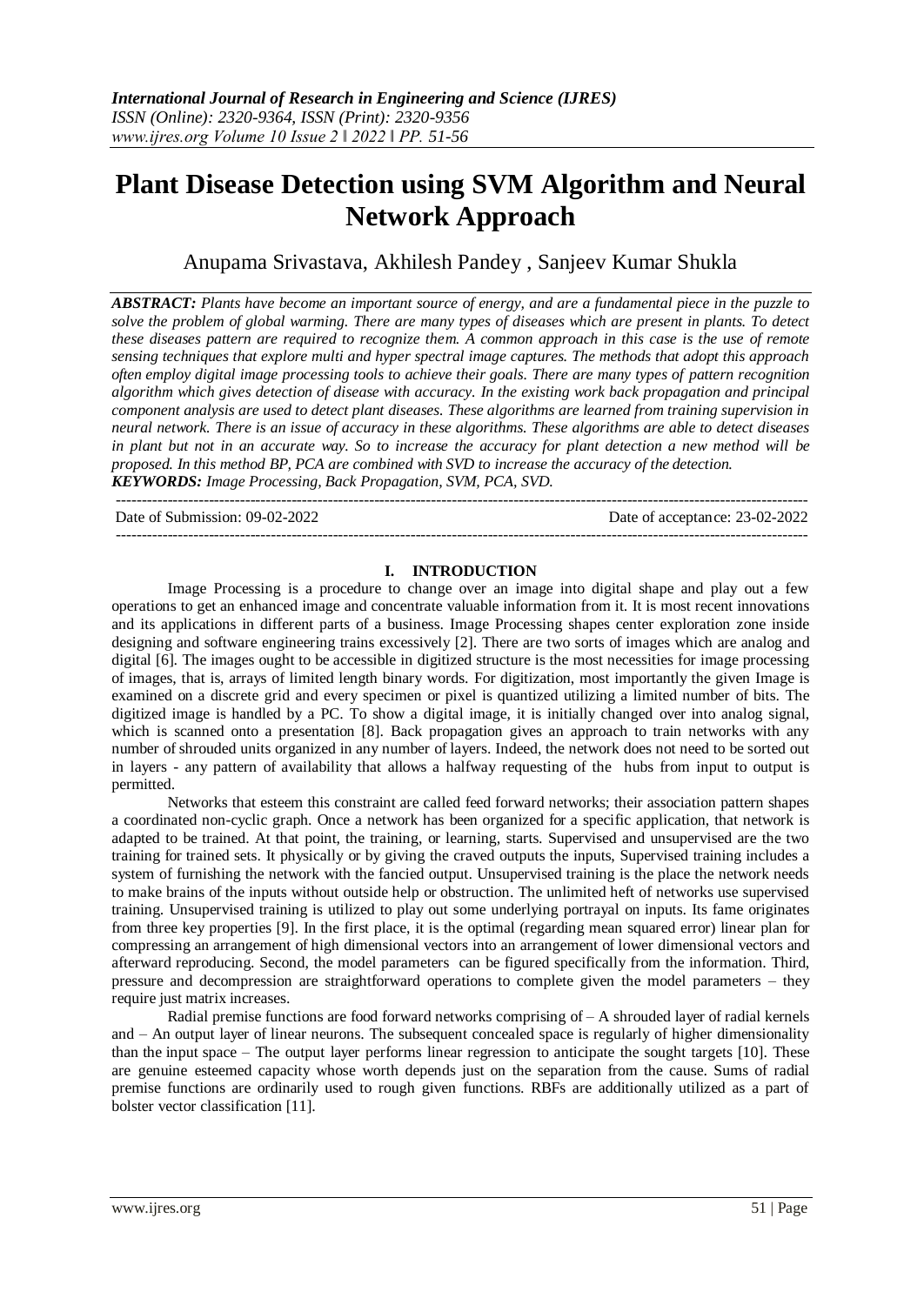# **Plant Disease Detection using SVM Algorithm and Neural Network Approach**

Anupama Srivastava, Akhilesh Pandey , Sanjeev Kumar Shukla

*ABSTRACT: Plants have become an important source of energy, and are a fundamental piece in the puzzle to solve the problem of global warming. There are many types of diseases which are present in plants. To detect these diseases pattern are required to recognize them. A common approach in this case is the use of remote sensing techniques that explore multi and hyper spectral image captures. The methods that adopt this approach often employ digital image processing tools to achieve their goals. There are many types of pattern recognition algorithm which gives detection of disease with accuracy. In the existing work back propagation and principal component analysis are used to detect plant diseases. These algorithms are learned from training supervision in neural network. There is an issue of accuracy in these algorithms. These algorithms are able to detect diseases in plant but not in an accurate way. So to increase the accuracy for plant detection a new method will be proposed. In this method BP, PCA are combined with SVD to increase the accuracy of the detection. KEYWORDS: Image Processing, Back Propagation, SVM, PCA, SVD.*

-------------------------------------------------------------------------------------------------------------------------------------- Date of Submission: 09-02-2022 Date of acceptance: 23-02-2022 --------------------------------------------------------------------------------------------------------------------------------------

## **I. INTRODUCTION**

Image Processing is a procedure to change over an image into digital shape and play out a few operations to get an enhanced image and concentrate valuable information from it. It is most recent innovations and its applications in different parts of a business. Image Processing shapes center exploration zone inside designing and software engineering trains excessively [2]. There are two sorts of images which are analog and digital [6]. The images ought to be accessible in digitized structure is the most necessities for image processing of images, that is, arrays of limited length binary words. For digitization, most importantly the given Image is examined on a discrete grid and every specimen or pixel is quantized utilizing a limited number of bits. The digitized image is handled by a PC. To show a digital image, it is initially changed over into analog signal, which is scanned onto a presentation [8]. Back propagation gives an approach to train networks with any number of shrouded units organized in any number of layers. Indeed, the network does not need to be sorted out in layers - any pattern of availability that allows a halfway requesting of the hubs from input to output is permitted.

Networks that esteem this constraint are called feed forward networks; their association pattern shapes a coordinated non-cyclic graph. Once a network has been organized for a specific application, that network is adapted to be trained. At that point, the training, or learning, starts. Supervised and unsupervised are the two training for trained sets. It physically or by giving the craved outputs the inputs, Supervised training includes a system of furnishing the network with the fancied output. Unsupervised training is the place the network needs to make brains of the inputs without outside help or obstruction. The unlimited heft of networks use supervised training. Unsupervised training is utilized to play out some underlying portrayal on inputs. Its fame originates from three key properties [9]. In the first place, it is the optimal (regarding mean squared error) linear plan for compressing an arrangement of high dimensional vectors into an arrangement of lower dimensional vectors and afterward reproducing. Second, the model parameters can be figured specifically from the information. Third, pressure and decompression are straightforward operations to complete given the model parameters – they require just matrix increases.

Radial premise functions are food forward networks comprising of – A shrouded layer of radial kernels and – An output layer of linear neurons. The subsequent concealed space is regularly of higher dimensionality than the input space – The output layer performs linear regression to anticipate the sought targets [10]. These are genuine esteemed capacity whose worth depends just on the separation from the cause. Sums of radial premise functions are ordinarily used to rough given functions. RBFs are additionally utilized as a part of bolster vector classification [11].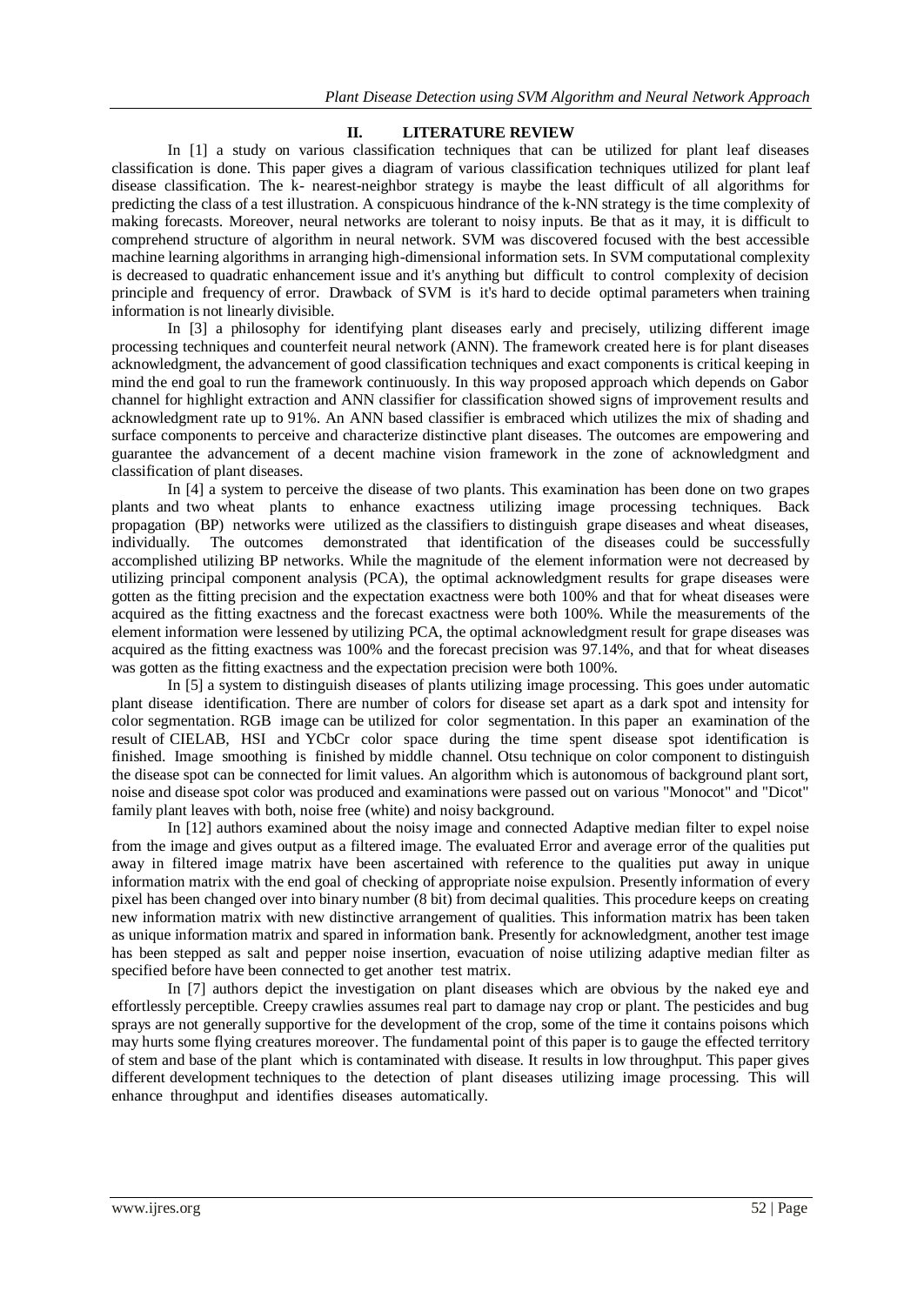## **II. LITERATURE REVIEW**

In [1] a study on various classification techniques that can be utilized for plant leaf diseases classification is done. This paper gives a diagram of various classification techniques utilized for plant leaf disease classification. The k- nearest-neighbor strategy is maybe the least difficult of all algorithms for predicting the class of a test illustration. A conspicuous hindrance of the k-NN strategy is the time complexity of making forecasts. Moreover, neural networks are tolerant to noisy inputs. Be that as it may, it is difficult to comprehend structure of algorithm in neural network. SVM was discovered focused with the best accessible machine learning algorithms in arranging high-dimensional information sets. In SVM computational complexity is decreased to quadratic enhancement issue and it's anything but difficult to control complexity of decision principle and frequency of error. Drawback of SVM is it's hard to decide optimal parameters when training information is not linearly divisible.

In [3] a philosophy for identifying plant diseases early and precisely, utilizing different image processing techniques and counterfeit neural network (ANN). The framework created here is for plant diseases acknowledgment, the advancement of good classification techniques and exact components is critical keeping in mind the end goal to run the framework continuously. In this way proposed approach which depends on Gabor channel for highlight extraction and ANN classifier for classification showed signs of improvement results and acknowledgment rate up to 91%. An ANN based classifier is embraced which utilizes the mix of shading and surface components to perceive and characterize distinctive plant diseases. The outcomes are empowering and guarantee the advancement of a decent machine vision framework in the zone of acknowledgment and classification of plant diseases.

In [4] a system to perceive the disease of two plants. This examination has been done on two grapes plants and two wheat plants to enhance exactness utilizing image processing techniques. Back propagation (BP) networks were utilized as the classifiers to distinguish grape diseases and wheat diseases, individually. The outcomes demonstrated that identification of the diseases could be successfully accomplished utilizing BP networks. While the magnitude of the element information were not decreased by utilizing principal component analysis (PCA), the optimal acknowledgment results for grape diseases were gotten as the fitting precision and the expectation exactness were both 100% and that for wheat diseases were acquired as the fitting exactness and the forecast exactness were both 100%. While the measurements of the element information were lessened by utilizing PCA, the optimal acknowledgment result for grape diseases was acquired as the fitting exactness was 100% and the forecast precision was 97.14%, and that for wheat diseases was gotten as the fitting exactness and the expectation precision were both 100%.

In [5] a system to distinguish diseases of plants utilizing image processing. This goes under automatic plant disease identification. There are number of colors for disease set apart as a dark spot and intensity for color segmentation. RGB image can be utilized for color segmentation. In this paper an examination of the result of CIELAB, HSI and YCbCr color space during the time spent disease spot identification is finished. Image smoothing is finished by middle channel. Otsu technique on color component to distinguish the disease spot can be connected for limit values. An algorithm which is autonomous of background plant sort, noise and disease spot color was produced and examinations were passed out on various "Monocot" and "Dicot" family plant leaves with both, noise free (white) and noisy background.

In [12] authors examined about the noisy image and connected Adaptive median filter to expel noise from the image and gives output as a filtered image. The evaluated Error and average error of the qualities put away in filtered image matrix have been ascertained with reference to the qualities put away in unique information matrix with the end goal of checking of appropriate noise expulsion. Presently information of every pixel has been changed over into binary number (8 bit) from decimal qualities. This procedure keeps on creating new information matrix with new distinctive arrangement of qualities. This information matrix has been taken as unique information matrix and spared in information bank. Presently for acknowledgment, another test image has been stepped as salt and pepper noise insertion, evacuation of noise utilizing adaptive median filter as specified before have been connected to get another test matrix.

In [7] authors depict the investigation on plant diseases which are obvious by the naked eye and effortlessly perceptible. Creepy crawlies assumes real part to damage nay crop or plant. The pesticides and bug sprays are not generally supportive for the development of the crop, some of the time it contains poisons which may hurts some flying creatures moreover. The fundamental point of this paper is to gauge the effected territory of stem and base of the plant which is contaminated with disease. It results in low throughput. This paper gives different development techniques to the detection of plant diseases utilizing image processing. This will enhance throughput and identifies diseases automatically.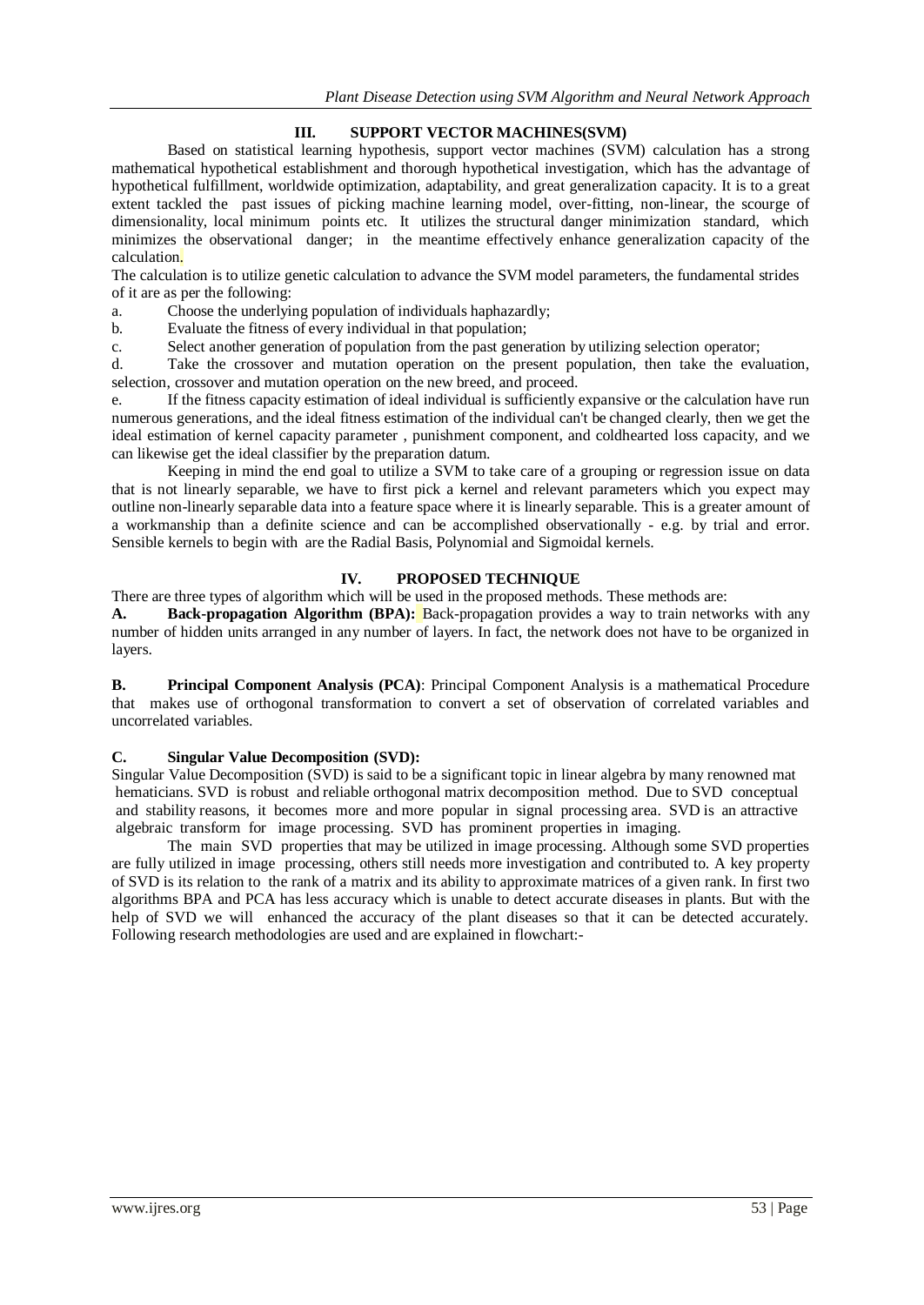# **III. SUPPORT VECTOR MACHINES(SVM)**

Based on statistical learning hypothesis, support vector machines (SVM) calculation has a strong mathematical hypothetical establishment and thorough hypothetical investigation, which has the advantage of hypothetical fulfillment, worldwide optimization, adaptability, and great generalization capacity. It is to a great extent tackled the past issues of picking machine learning model, over-fitting, non-linear, the scourge of dimensionality, local minimum points etc. It utilizes the structural danger minimization standard, which minimizes the observational danger; in the meantime effectively enhance generalization capacity of the calculation.

The calculation is to utilize genetic calculation to advance the SVM model parameters, the fundamental strides of it are as per the following:

a. Choose the underlying population of individuals haphazardly;

b. Evaluate the fitness of every individual in that population;

c. Select another generation of population from the past generation by utilizing selection operator;

d. Take the crossover and mutation operation on the present population, then take the evaluation, selection, crossover and mutation operation on the new breed, and proceed.

e. If the fitness capacity estimation of ideal individual is sufficiently expansive or the calculation have run numerous generations, and the ideal fitness estimation of the individual can't be changed clearly, then we get the ideal estimation of kernel capacity parameter , punishment component, and coldhearted loss capacity, and we can likewise get the ideal classifier by the preparation datum.

Keeping in mind the end goal to utilize a SVM to take care of a grouping or regression issue on data that is not linearly separable, we have to first pick a kernel and relevant parameters which you expect may outline non-linearly separable data into a feature space where it is linearly separable. This is a greater amount of a workmanship than a definite science and can be accomplished observationally - e.g. by trial and error. Sensible kernels to begin with are the Radial Basis, Polynomial and Sigmoidal kernels.

## **IV. PROPOSED TECHNIQUE**

There are three types of algorithm which will be used in the proposed methods. These methods are:

**A. Back-propagation Algorithm (BPA):** Back-propagation provides a way to train networks with any number of hidden units arranged in any number of layers. In fact, the network does not have to be organized in layers.

**B. Principal Component Analysis (PCA)**: Principal Component Analysis is a mathematical Procedure that makes use of orthogonal transformation to convert a set of observation of correlated variables and uncorrelated variables.

## **C. Singular Value Decomposition (SVD):**

Singular Value Decomposition (SVD) is said to be a significant topic in linear algebra by many renowned mat hematicians. SVD is robust and reliable orthogonal matrix decomposition method. Due to SVD conceptual and stability reasons, it becomes more and more popular in signal processing area. SVD is an attractive algebraic transform for image processing. SVD has prominent properties in imaging.

The main SVD properties that may be utilized in image processing. Although some SVD properties are fully utilized in image processing, others still needs more investigation and contributed to. A key property of SVD is its relation to the rank of a matrix and its ability to approximate matrices of a given rank. In first two algorithms BPA and PCA has less accuracy which is unable to detect accurate diseases in plants. But with the help of SVD we will enhanced the accuracy of the plant diseases so that it can be detected accurately. Following research methodologies are used and are explained in flowchart:-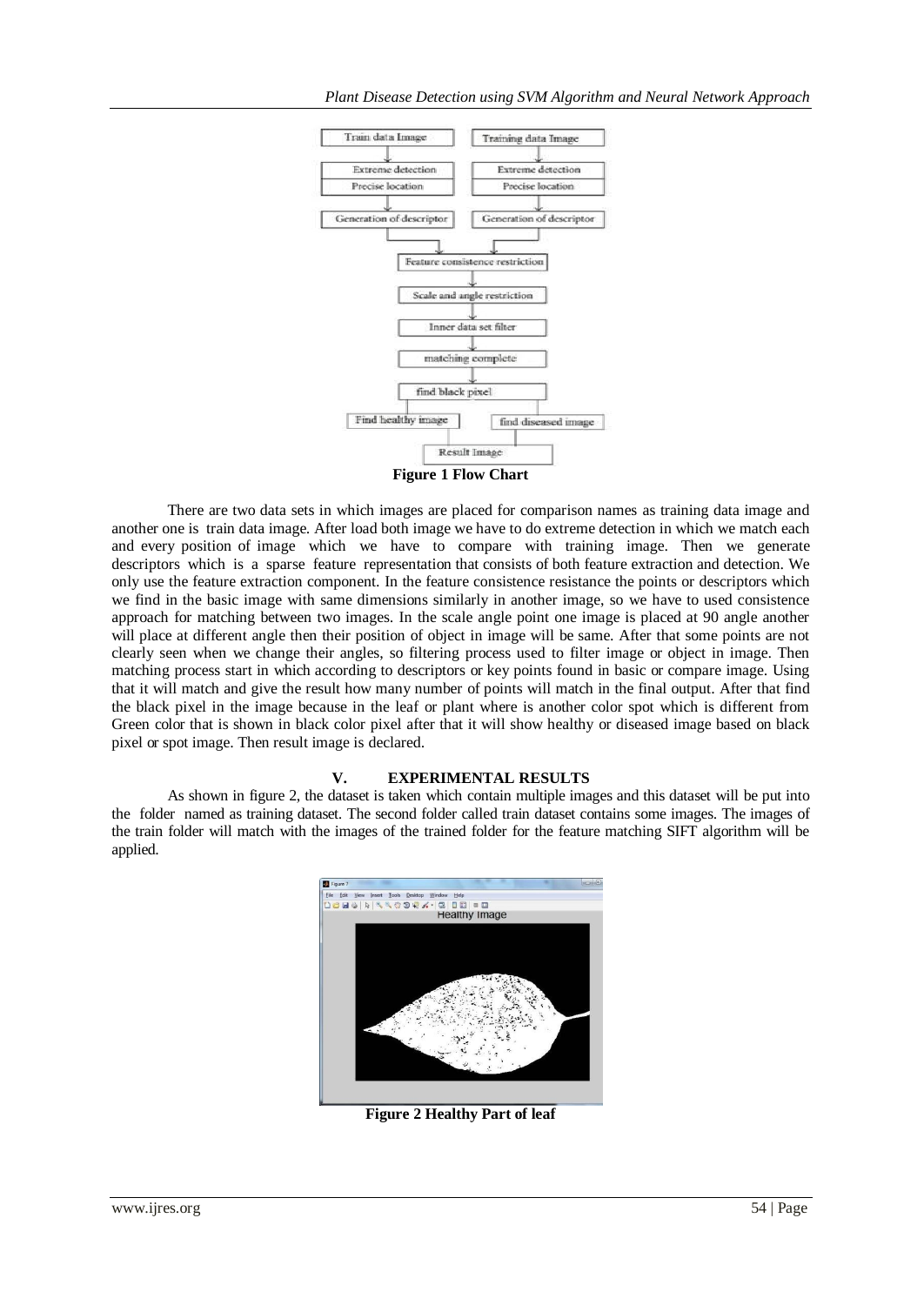

There are two data sets in which images are placed for comparison names as training data image and another one is train data image. After load both image we have to do extreme detection in which we match each and every position of image which we have to compare with training image. Then we generate descriptors which is a sparse feature representation that consists of both feature extraction and detection. We only use the feature extraction component. In the feature consistence resistance the points or descriptors which we find in the basic image with same dimensions similarly in another image, so we have to used consistence approach for matching between two images. In the scale angle point one image is placed at 90 angle another will place at different angle then their position of object in image will be same. After that some points are not clearly seen when we change their angles, so filtering process used to filter image or object in image. Then matching process start in which according to descriptors or key points found in basic or compare image. Using that it will match and give the result how many number of points will match in the final output. After that find the black pixel in the image because in the leaf or plant where is another color spot which is different from Green color that is shown in black color pixel after that it will show healthy or diseased image based on black pixel or spot image. Then result image is declared.

### **V. EXPERIMENTAL RESULTS**

As shown in figure 2, the dataset is taken which contain multiple images and this dataset will be put into the folder named as training dataset. The second folder called train dataset contains some images. The images of the train folder will match with the images of the trained folder for the feature matching SIFT algorithm will be applied.



**Figure 2 Healthy Part of leaf**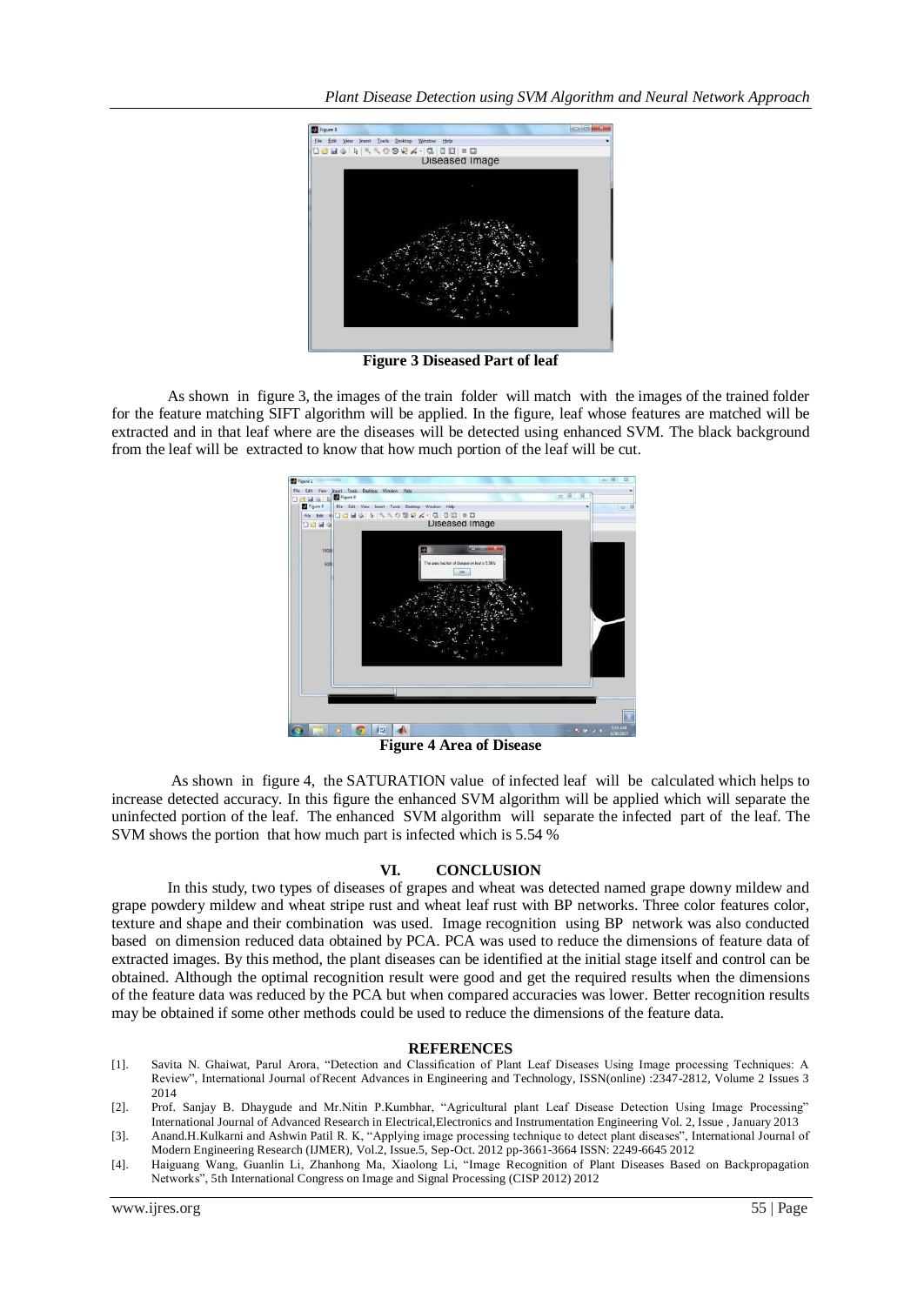

**Figure 3 Diseased Part of leaf**

As shown in figure 3, the images of the train folder will match with the images of the trained folder for the feature matching SIFT algorithm will be applied. In the figure, leaf whose features are matched will be extracted and in that leaf where are the diseases will be detected using enhanced SVM. The black background from the leaf will be extracted to know that how much portion of the leaf will be cut.



**Figure 4 Area of Disease**

As shown in figure 4, the SATURATION value of infected leaf will be calculated which helps to increase detected accuracy. In this figure the enhanced SVM algorithm will be applied which will separate the uninfected portion of the leaf. The enhanced SVM algorithm will separate the infected part of the leaf. The SVM shows the portion that how much part is infected which is 5.54 %

### **VI. CONCLUSION**

In this study, two types of diseases of grapes and wheat was detected named grape downy mildew and grape powdery mildew and wheat stripe rust and wheat leaf rust with BP networks. Three color features color, texture and shape and their combination was used. Image recognition using BP network was also conducted based on dimension reduced data obtained by PCA. PCA was used to reduce the dimensions of feature data of extracted images. By this method, the plant diseases can be identified at the initial stage itself and control can be obtained. Although the optimal recognition result were good and get the required results when the dimensions of the feature data was reduced by the PCA but when compared accuracies was lower. Better recognition results may be obtained if some other methods could be used to reduce the dimensions of the feature data.

### **REFERENCES**

- [1]. Savita N. Ghaiwat, Parul Arora, "Detection and Classification of Plant Leaf Diseases Using Image processing Techniques: A Review", International Journal ofRecent Advances in Engineering and Technology, ISSN(online) :2347-2812, Volume 2 Issues 3 2014
- [2]. Prof. Sanjay B. Dhaygude and Mr.Nitin P.Kumbhar, "Agricultural plant Leaf Disease Detection Using Image Processing" International Journal of Advanced Research in Electrical,Electronics and Instrumentation Engineering Vol. 2, Issue , January 2013
- [3]. Anand.H.Kulkarni and Ashwin Patil R. K, "Applying image processing technique to detect plant diseases", International Journal of Modern Engineering Research (IJMER), Vol.2, Issue.5, Sep-Oct. 2012 pp-3661-3664 ISSN: 2249-6645 2012
- [4]. Haiguang Wang, Guanlin Li, Zhanhong Ma, Xiaolong Li, "Image Recognition of Plant Diseases Based on Backpropagation Networks", 5th International Congress on Image and Signal Processing (CISP 2012) 2012